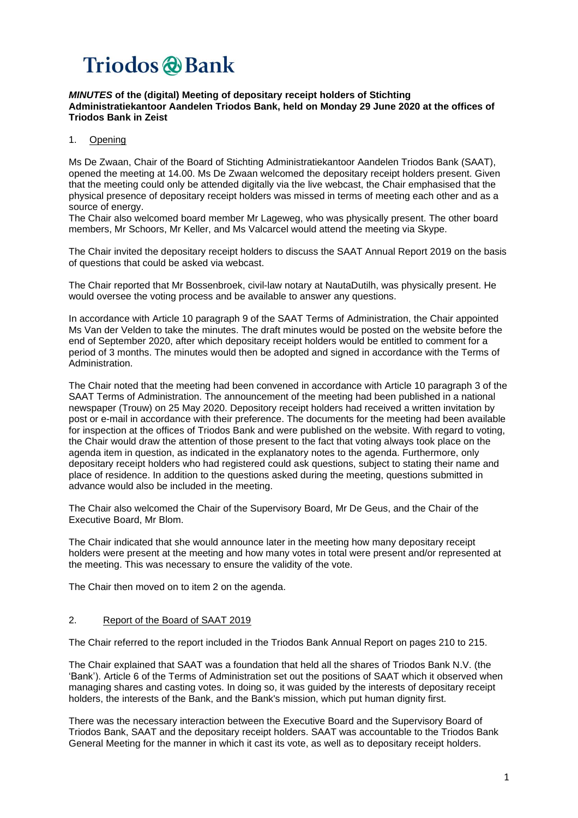#### *MINUTES* **of the (digital) Meeting of depositary receipt holders of Stichting Administratiekantoor Aandelen Triodos Bank, held on Monday 29 June 2020 at the offices of Triodos Bank in Zeist**

### 1. Opening

Ms De Zwaan, Chair of the Board of Stichting Administratiekantoor Aandelen Triodos Bank (SAAT), opened the meeting at 14.00. Ms De Zwaan welcomed the depositary receipt holders present. Given that the meeting could only be attended digitally via the live webcast, the Chair emphasised that the physical presence of depositary receipt holders was missed in terms of meeting each other and as a source of energy.

The Chair also welcomed board member Mr Lageweg, who was physically present. The other board members, Mr Schoors, Mr Keller, and Ms Valcarcel would attend the meeting via Skype.

The Chair invited the depositary receipt holders to discuss the SAAT Annual Report 2019 on the basis of questions that could be asked via webcast.

The Chair reported that Mr Bossenbroek, civil-law notary at NautaDutilh, was physically present. He would oversee the voting process and be available to answer any questions.

In accordance with Article 10 paragraph 9 of the SAAT Terms of Administration, the Chair appointed Ms Van der Velden to take the minutes. The draft minutes would be posted on the website before the end of September 2020, after which depositary receipt holders would be entitled to comment for a period of 3 months. The minutes would then be adopted and signed in accordance with the Terms of Administration.

The Chair noted that the meeting had been convened in accordance with Article 10 paragraph 3 of the SAAT Terms of Administration. The announcement of the meeting had been published in a national newspaper (Trouw) on 25 May 2020. Depository receipt holders had received a written invitation by post or e-mail in accordance with their preference. The documents for the meeting had been available for inspection at the offices of Triodos Bank and were published on the website. With regard to voting, the Chair would draw the attention of those present to the fact that voting always took place on the agenda item in question, as indicated in the explanatory notes to the agenda. Furthermore, only depositary receipt holders who had registered could ask questions, subject to stating their name and place of residence. In addition to the questions asked during the meeting, questions submitted in advance would also be included in the meeting.

The Chair also welcomed the Chair of the Supervisory Board, Mr De Geus, and the Chair of the Executive Board, Mr Blom.

The Chair indicated that she would announce later in the meeting how many depositary receipt holders were present at the meeting and how many votes in total were present and/or represented at the meeting. This was necessary to ensure the validity of the vote.

The Chair then moved on to item 2 on the agenda.

#### 2. Report of the Board of SAAT 2019

The Chair referred to the report included in the Triodos Bank Annual Report on pages 210 to 215.

The Chair explained that SAAT was a foundation that held all the shares of Triodos Bank N.V. (the 'Bank'). Article 6 of the Terms of Administration set out the positions of SAAT which it observed when managing shares and casting votes. In doing so, it was guided by the interests of depositary receipt holders, the interests of the Bank, and the Bank's mission, which put human dignity first.

There was the necessary interaction between the Executive Board and the Supervisory Board of Triodos Bank, SAAT and the depositary receipt holders. SAAT was accountable to the Triodos Bank General Meeting for the manner in which it cast its vote, as well as to depositary receipt holders.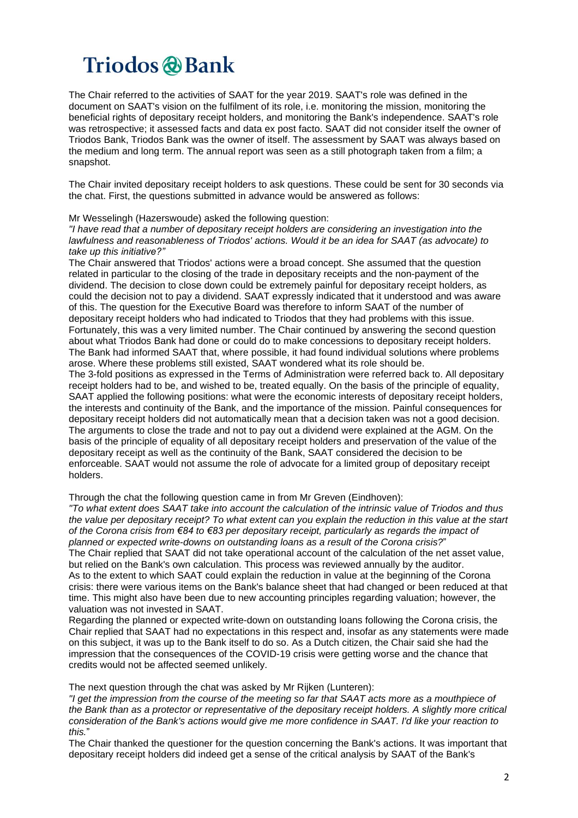The Chair referred to the activities of SAAT for the year 2019. SAAT's role was defined in the document on SAAT's vision on the fulfilment of its role, i.e. monitoring the mission, monitoring the beneficial rights of depositary receipt holders, and monitoring the Bank's independence. SAAT's role was retrospective; it assessed facts and data ex post facto. SAAT did not consider itself the owner of Triodos Bank, Triodos Bank was the owner of itself. The assessment by SAAT was always based on the medium and long term. The annual report was seen as a still photograph taken from a film; a snapshot.

The Chair invited depositary receipt holders to ask questions. These could be sent for 30 seconds via the chat. First, the questions submitted in advance would be answered as follows:

#### Mr Wesselingh (Hazerswoude) asked the following question:

*"I have read that a number of depositary receipt holders are considering an investigation into the lawfulness and reasonableness of Triodos' actions. Would it be an idea for SAAT (as advocate) to take up this initiative?"*

The Chair answered that Triodos' actions were a broad concept. She assumed that the question related in particular to the closing of the trade in depositary receipts and the non-payment of the dividend. The decision to close down could be extremely painful for depositary receipt holders, as could the decision not to pay a dividend. SAAT expressly indicated that it understood and was aware of this. The question for the Executive Board was therefore to inform SAAT of the number of depositary receipt holders who had indicated to Triodos that they had problems with this issue. Fortunately, this was a very limited number. The Chair continued by answering the second question about what Triodos Bank had done or could do to make concessions to depositary receipt holders. The Bank had informed SAAT that, where possible, it had found individual solutions where problems arose. Where these problems still existed, SAAT wondered what its role should be. The 3-fold positions as expressed in the Terms of Administration were referred back to. All depositary receipt holders had to be, and wished to be, treated equally. On the basis of the principle of equality, SAAT applied the following positions: what were the economic interests of depositary receipt holders, the interests and continuity of the Bank, and the importance of the mission. Painful consequences for depositary receipt holders did not automatically mean that a decision taken was not a good decision. The arguments to close the trade and not to pay out a dividend were explained at the AGM. On the basis of the principle of equality of all depositary receipt holders and preservation of the value of the depositary receipt as well as the continuity of the Bank, SAAT considered the decision to be enforceable. SAAT would not assume the role of advocate for a limited group of depositary receipt holders.

#### Through the chat the following question came in from Mr Greven (Eindhoven):

"To what extent does SAAT take into account the calculation of the intrinsic value of Triodos and thus the value per depositary receipt? To what extent can you explain the reduction in this value at the start *of the Corona crisis from €84 to €83 per depositary receipt, particularly as regards the impact of planned or expected write-downs on outstanding loans as a result of the Corona crisis?*" The Chair replied that SAAT did not take operational account of the calculation of the net asset value, but relied on the Bank's own calculation. This process was reviewed annually by the auditor. As to the extent to which SAAT could explain the reduction in value at the beginning of the Corona crisis: there were various items on the Bank's balance sheet that had changed or been reduced at that time. This might also have been due to new accounting principles regarding valuation; however, the valuation was not invested in SAAT.

Regarding the planned or expected write-down on outstanding loans following the Corona crisis, the Chair replied that SAAT had no expectations in this respect and, insofar as any statements were made on this subject, it was up to the Bank itself to do so. As a Dutch citizen, the Chair said she had the impression that the consequences of the COVID-19 crisis were getting worse and the chance that credits would not be affected seemed unlikely.

The next question through the chat was asked by Mr Rijken (Lunteren):

"I get the impression from the course of the meeting so far that SAAT acts more as a mouthpiece of the Bank than as a protector or representative of the depositary receipt holders. A slightly more critical *consideration of the Bank's actions would give me more confidence in SAAT. I'd like your reaction to this.*"

The Chair thanked the questioner for the question concerning the Bank's actions. It was important that depositary receipt holders did indeed get a sense of the critical analysis by SAAT of the Bank's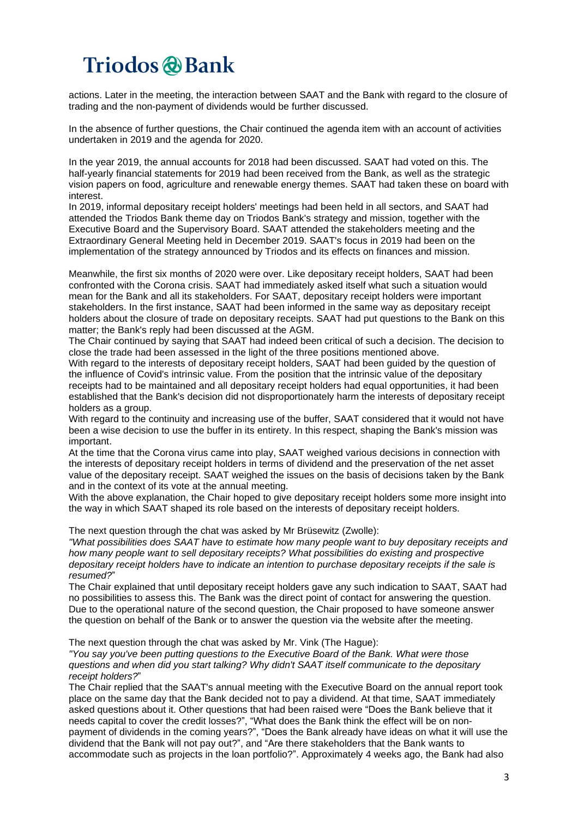actions. Later in the meeting, the interaction between SAAT and the Bank with regard to the closure of trading and the non-payment of dividends would be further discussed.

In the absence of further questions, the Chair continued the agenda item with an account of activities undertaken in 2019 and the agenda for 2020.

In the year 2019, the annual accounts for 2018 had been discussed. SAAT had voted on this. The half-yearly financial statements for 2019 had been received from the Bank, as well as the strategic vision papers on food, agriculture and renewable energy themes. SAAT had taken these on board with interest.

In 2019, informal depositary receipt holders' meetings had been held in all sectors, and SAAT had attended the Triodos Bank theme day on Triodos Bank's strategy and mission, together with the Executive Board and the Supervisory Board. SAAT attended the stakeholders meeting and the Extraordinary General Meeting held in December 2019. SAAT's focus in 2019 had been on the implementation of the strategy announced by Triodos and its effects on finances and mission.

Meanwhile, the first six months of 2020 were over. Like depositary receipt holders, SAAT had been confronted with the Corona crisis. SAAT had immediately asked itself what such a situation would mean for the Bank and all its stakeholders. For SAAT, depositary receipt holders were important stakeholders. In the first instance, SAAT had been informed in the same way as depositary receipt holders about the closure of trade on depositary receipts. SAAT had put questions to the Bank on this matter; the Bank's reply had been discussed at the AGM.

The Chair continued by saying that SAAT had indeed been critical of such a decision. The decision to close the trade had been assessed in the light of the three positions mentioned above.

With regard to the interests of depositary receipt holders, SAAT had been guided by the question of the influence of Covid's intrinsic value. From the position that the intrinsic value of the depositary receipts had to be maintained and all depositary receipt holders had equal opportunities, it had been established that the Bank's decision did not disproportionately harm the interests of depositary receipt holders as a group.

With regard to the continuity and increasing use of the buffer, SAAT considered that it would not have been a wise decision to use the buffer in its entirety. In this respect, shaping the Bank's mission was important.

At the time that the Corona virus came into play, SAAT weighed various decisions in connection with the interests of depositary receipt holders in terms of dividend and the preservation of the net asset value of the depositary receipt. SAAT weighed the issues on the basis of decisions taken by the Bank and in the context of its vote at the annual meeting.

With the above explanation, the Chair hoped to give depositary receipt holders some more insight into the way in which SAAT shaped its role based on the interests of depositary receipt holders.

The next question through the chat was asked by Mr Brüsewitz (Zwolle):

*"What possibilities does SAAT have to estimate how many people want to buy depositary receipts and how many people want to sell depositary receipts? What possibilities do existing and prospective depositary receipt holders have to indicate an intention to purchase depositary receipts if the sale is resumed?*"

The Chair explained that until depositary receipt holders gave any such indication to SAAT, SAAT had no possibilities to assess this. The Bank was the direct point of contact for answering the question. Due to the operational nature of the second question, the Chair proposed to have someone answer the question on behalf of the Bank or to answer the question via the website after the meeting.

The next question through the chat was asked by Mr. Vink (The Hague):

*"You say you've been putting questions to the Executive Board of the Bank. What were those questions and when did you start talking? Why didn't SAAT itself communicate to the depositary receipt holders?*"

The Chair replied that the SAAT's annual meeting with the Executive Board on the annual report took place on the same day that the Bank decided not to pay a dividend. At that time, SAAT immediately asked questions about it. Other questions that had been raised were "Does the Bank believe that it needs capital to cover the credit losses?", "What does the Bank think the effect will be on nonpayment of dividends in the coming years?", "Does the Bank already have ideas on what it will use the dividend that the Bank will not pay out?", and "Are there stakeholders that the Bank wants to accommodate such as projects in the loan portfolio?". Approximately 4 weeks ago, the Bank had also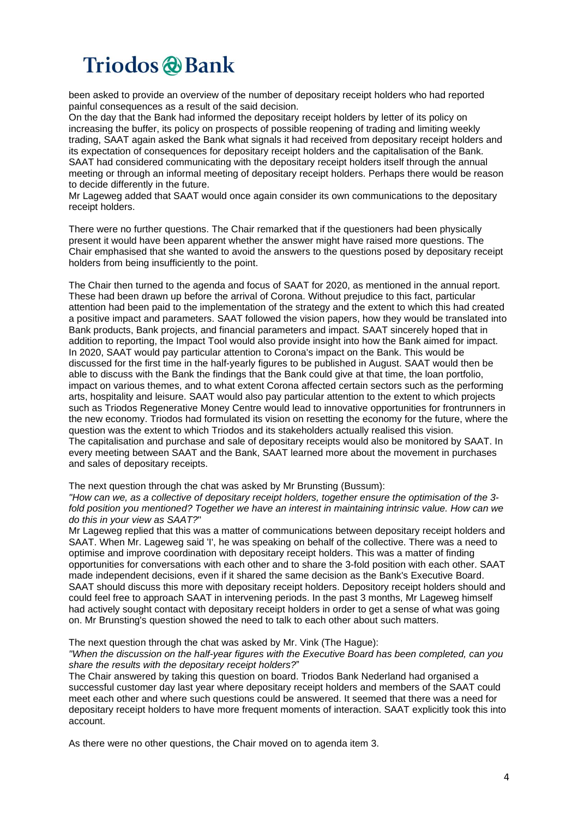been asked to provide an overview of the number of depositary receipt holders who had reported painful consequences as a result of the said decision.

On the day that the Bank had informed the depositary receipt holders by letter of its policy on increasing the buffer, its policy on prospects of possible reopening of trading and limiting weekly trading, SAAT again asked the Bank what signals it had received from depositary receipt holders and its expectation of consequences for depositary receipt holders and the capitalisation of the Bank. SAAT had considered communicating with the depositary receipt holders itself through the annual meeting or through an informal meeting of depositary receipt holders. Perhaps there would be reason to decide differently in the future.

Mr Lageweg added that SAAT would once again consider its own communications to the depositary receipt holders.

There were no further questions. The Chair remarked that if the questioners had been physically present it would have been apparent whether the answer might have raised more questions. The Chair emphasised that she wanted to avoid the answers to the questions posed by depositary receipt holders from being insufficiently to the point.

The Chair then turned to the agenda and focus of SAAT for 2020, as mentioned in the annual report. These had been drawn up before the arrival of Corona. Without prejudice to this fact, particular attention had been paid to the implementation of the strategy and the extent to which this had created a positive impact and parameters. SAAT followed the vision papers, how they would be translated into Bank products, Bank projects, and financial parameters and impact. SAAT sincerely hoped that in addition to reporting, the Impact Tool would also provide insight into how the Bank aimed for impact. In 2020, SAAT would pay particular attention to Corona's impact on the Bank. This would be discussed for the first time in the half-yearly figures to be published in August. SAAT would then be able to discuss with the Bank the findings that the Bank could give at that time, the loan portfolio, impact on various themes, and to what extent Corona affected certain sectors such as the performing arts, hospitality and leisure. SAAT would also pay particular attention to the extent to which projects such as Triodos Regenerative Money Centre would lead to innovative opportunities for frontrunners in the new economy. Triodos had formulated its vision on resetting the economy for the future, where the question was the extent to which Triodos and its stakeholders actually realised this vision. The capitalisation and purchase and sale of depositary receipts would also be monitored by SAAT. In every meeting between SAAT and the Bank, SAAT learned more about the movement in purchases and sales of depositary receipts.

The next question through the chat was asked by Mr Brunsting (Bussum):

*"How can we, as a collective of depositary receipt holders, together ensure the optimisation of the 3 fold position you mentioned? Together we have an interest in maintaining intrinsic value. How can we do this in your view as SAAT?*"

Mr Lageweg replied that this was a matter of communications between depositary receipt holders and SAAT. When Mr. Lageweg said 'I', he was speaking on behalf of the collective. There was a need to optimise and improve coordination with depositary receipt holders. This was a matter of finding opportunities for conversations with each other and to share the 3-fold position with each other. SAAT made independent decisions, even if it shared the same decision as the Bank's Executive Board. SAAT should discuss this more with depositary receipt holders. Depository receipt holders should and could feel free to approach SAAT in intervening periods. In the past 3 months, Mr Lageweg himself had actively sought contact with depositary receipt holders in order to get a sense of what was going on. Mr Brunsting's question showed the need to talk to each other about such matters.

#### The next question through the chat was asked by Mr. Vink (The Hague):

#### *"When the discussion on the half-year figures with the Executive Board has been completed, can you share the results with the depositary receipt holders?*"

The Chair answered by taking this question on board. Triodos Bank Nederland had organised a successful customer day last year where depositary receipt holders and members of the SAAT could meet each other and where such questions could be answered. It seemed that there was a need for depositary receipt holders to have more frequent moments of interaction. SAAT explicitly took this into account.

As there were no other questions, the Chair moved on to agenda item 3.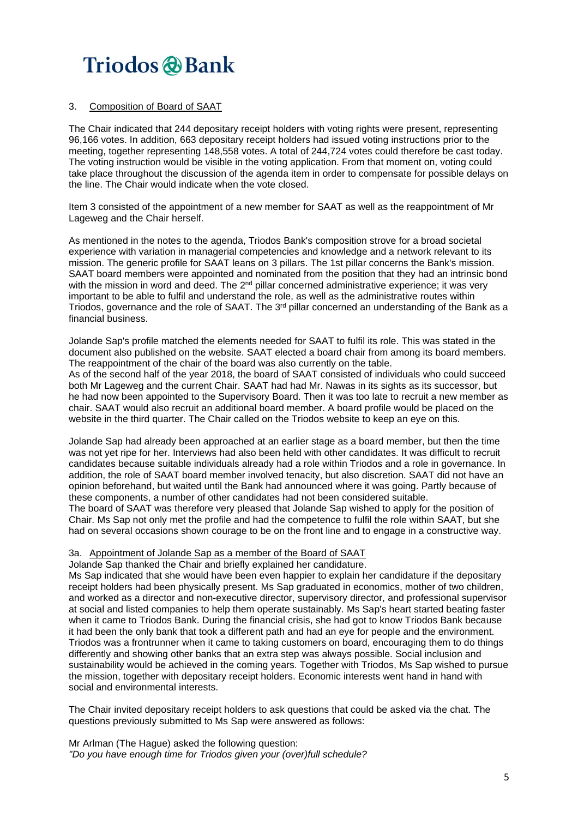### 3. Composition of Board of SAAT

The Chair indicated that 244 depositary receipt holders with voting rights were present, representing 96,166 votes. In addition, 663 depositary receipt holders had issued voting instructions prior to the meeting, together representing 148,558 votes. A total of 244,724 votes could therefore be cast today. The voting instruction would be visible in the voting application. From that moment on, voting could take place throughout the discussion of the agenda item in order to compensate for possible delays on the line. The Chair would indicate when the vote closed.

Item 3 consisted of the appointment of a new member for SAAT as well as the reappointment of Mr Lageweg and the Chair herself.

As mentioned in the notes to the agenda, Triodos Bank's composition strove for a broad societal experience with variation in managerial competencies and knowledge and a network relevant to its mission. The generic profile for SAAT leans on 3 pillars. The 1st pillar concerns the Bank's mission. SAAT board members were appointed and nominated from the position that they had an intrinsic bond with the mission in word and deed. The 2<sup>nd</sup> pillar concerned administrative experience; it was very important to be able to fulfil and understand the role, as well as the administrative routes within Triodos, governance and the role of SAAT. The 3<sup>rd</sup> pillar concerned an understanding of the Bank as a financial business.

Jolande Sap's profile matched the elements needed for SAAT to fulfil its role. This was stated in the document also published on the website. SAAT elected a board chair from among its board members. The reappointment of the chair of the board was also currently on the table. As of the second half of the year 2018, the board of SAAT consisted of individuals who could succeed both Mr Lageweg and the current Chair. SAAT had had Mr. Nawas in its sights as its successor, but he had now been appointed to the Supervisory Board. Then it was too late to recruit a new member as chair. SAAT would also recruit an additional board member. A board profile would be placed on the website in the third quarter. The Chair called on the Triodos website to keep an eye on this.

Jolande Sap had already been approached at an earlier stage as a board member, but then the time was not yet ripe for her. Interviews had also been held with other candidates. It was difficult to recruit candidates because suitable individuals already had a role within Triodos and a role in governance. In addition, the role of SAAT board member involved tenacity, but also discretion. SAAT did not have an opinion beforehand, but waited until the Bank had announced where it was going. Partly because of these components, a number of other candidates had not been considered suitable.

The board of SAAT was therefore very pleased that Jolande Sap wished to apply for the position of Chair. Ms Sap not only met the profile and had the competence to fulfil the role within SAAT, but she had on several occasions shown courage to be on the front line and to engage in a constructive way.

### 3a. Appointment of Jolande Sap as a member of the Board of SAAT

Jolande Sap thanked the Chair and briefly explained her candidature.

Ms Sap indicated that she would have been even happier to explain her candidature if the depositary receipt holders had been physically present. Ms Sap graduated in economics, mother of two children, and worked as a director and non-executive director, supervisory director, and professional supervisor at social and listed companies to help them operate sustainably. Ms Sap's heart started beating faster when it came to Triodos Bank. During the financial crisis, she had got to know Triodos Bank because it had been the only bank that took a different path and had an eye for people and the environment. Triodos was a frontrunner when it came to taking customers on board, encouraging them to do things differently and showing other banks that an extra step was always possible. Social inclusion and sustainability would be achieved in the coming years. Together with Triodos, Ms Sap wished to pursue the mission, together with depositary receipt holders. Economic interests went hand in hand with social and environmental interests.

The Chair invited depositary receipt holders to ask questions that could be asked via the chat. The questions previously submitted to Ms Sap were answered as follows:

Mr Arlman (The Hague) asked the following question: *"Do you have enough time for Triodos given your (over)full schedule?*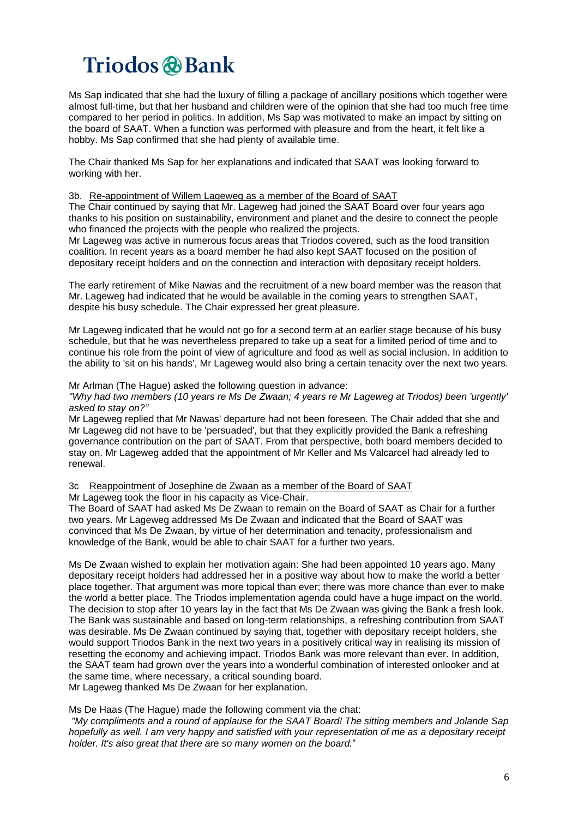Ms Sap indicated that she had the luxury of filling a package of ancillary positions which together were almost full-time, but that her husband and children were of the opinion that she had too much free time compared to her period in politics. In addition, Ms Sap was motivated to make an impact by sitting on the board of SAAT. When a function was performed with pleasure and from the heart, it felt like a hobby. Ms Sap confirmed that she had plenty of available time.

The Chair thanked Ms Sap for her explanations and indicated that SAAT was looking forward to working with her.

#### 3b. Re-appointment of Willem Lageweg as a member of the Board of SAAT

The Chair continued by saying that Mr. Lageweg had joined the SAAT Board over four years ago thanks to his position on sustainability, environment and planet and the desire to connect the people who financed the projects with the people who realized the projects.

Mr Lageweg was active in numerous focus areas that Triodos covered, such as the food transition coalition. In recent years as a board member he had also kept SAAT focused on the position of depositary receipt holders and on the connection and interaction with depositary receipt holders.

The early retirement of Mike Nawas and the recruitment of a new board member was the reason that Mr. Lageweg had indicated that he would be available in the coming years to strengthen SAAT, despite his busy schedule. The Chair expressed her great pleasure.

Mr Lageweg indicated that he would not go for a second term at an earlier stage because of his busy schedule, but that he was nevertheless prepared to take up a seat for a limited period of time and to continue his role from the point of view of agriculture and food as well as social inclusion. In addition to the ability to 'sit on his hands', Mr Lageweg would also bring a certain tenacity over the next two years.

Mr Arlman (The Hague) asked the following question in advance:

"Why had two members (10 years re Ms De Zwaan; 4 years re Mr Lageweg at Triodos) been 'urgently' *asked to stay on?"*

Mr Lageweg replied that Mr Nawas' departure had not been foreseen. The Chair added that she and Mr Lageweg did not have to be 'persuaded', but that they explicitly provided the Bank a refreshing governance contribution on the part of SAAT. From that perspective, both board members decided to stay on. Mr Lageweg added that the appointment of Mr Keller and Ms Valcarcel had already led to renewal.

3c Reappointment of Josephine de Zwaan as a member of the Board of SAAT

Mr Lageweg took the floor in his capacity as Vice-Chair.

The Board of SAAT had asked Ms De Zwaan to remain on the Board of SAAT as Chair for a further two years. Mr Lageweg addressed Ms De Zwaan and indicated that the Board of SAAT was convinced that Ms De Zwaan, by virtue of her determination and tenacity, professionalism and knowledge of the Bank, would be able to chair SAAT for a further two years.

Ms De Zwaan wished to explain her motivation again: She had been appointed 10 years ago. Many depositary receipt holders had addressed her in a positive way about how to make the world a better place together. That argument was more topical than ever; there was more chance than ever to make the world a better place. The Triodos implementation agenda could have a huge impact on the world. The decision to stop after 10 years lay in the fact that Ms De Zwaan was giving the Bank a fresh look. The Bank was sustainable and based on long-term relationships, a refreshing contribution from SAAT was desirable. Ms De Zwaan continued by saying that, together with depositary receipt holders, she would support Triodos Bank in the next two years in a positively critical way in realising its mission of resetting the economy and achieving impact. Triodos Bank was more relevant than ever. In addition, the SAAT team had grown over the years into a wonderful combination of interested onlooker and at the same time, where necessary, a critical sounding board. Mr Lageweg thanked Ms De Zwaan for her explanation.

Ms De Haas (The Hague) made the following comment via the chat:

*"My compliments and a round of applause for the SAAT Board! The sitting members and Jolande Sap* hopefully as well. I am very happy and satisfied with your representation of me as a depositary receipt *holder. It's also great that there are so many women on the board.*"